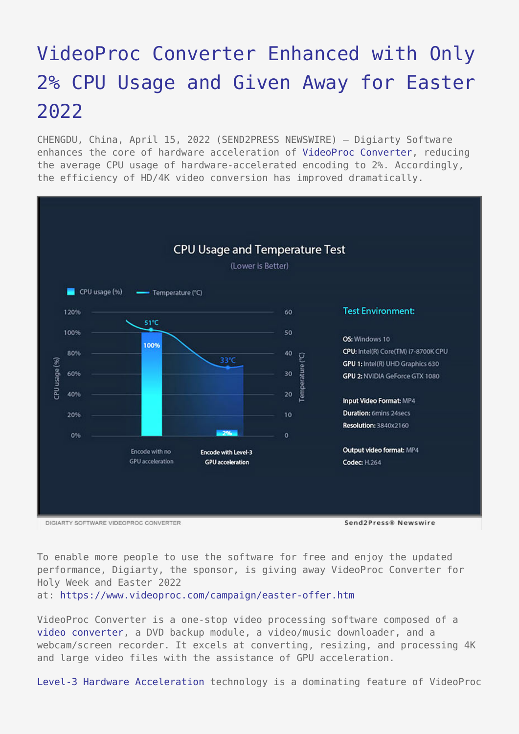## [VideoProc Converter Enhanced with Only](https://www.send2press.com/wire/videoproc-converter-enhanced-with-only-2-cpu-usage-and-given-away-for-easter-2022/) [2% CPU Usage and Given Away for Easter](https://www.send2press.com/wire/videoproc-converter-enhanced-with-only-2-cpu-usage-and-given-away-for-easter-2022/) [2022](https://www.send2press.com/wire/videoproc-converter-enhanced-with-only-2-cpu-usage-and-given-away-for-easter-2022/)

CHENGDU, China, April 15, 2022 (SEND2PRESS NEWSWIRE) — Digiarty Software enhances the core of hardware acceleration of [VideoProc Converter,](https://www.videoproc.com/video-converting-software/) reducing the average CPU usage of hardware-accelerated encoding to 2%. Accordingly, the efficiency of HD/4K video conversion has improved dramatically.



To enable more people to use the software for free and enjoy the updated performance, Digiarty, the sponsor, is giving away VideoProc Converter for Holy Week and Easter 2022

at:<https://www.videoproc.com/campaign/easter-offer.htm>

VideoProc Converter is a one-stop video processing software composed of a [video converter,](https://www.videoproc.com/media-converter/best-video-converter.htm) a DVD backup module, a video/music downloader, and a webcam/screen recorder. It excels at converting, resizing, and processing 4K and large video files with the assistance of GPU acceleration.

[Level-3 Hardware Acceleration](https://www.videoproc.com/video-process/full-gpu-acceleration-benefits-4k-video.htm) technology is a dominating feature of VideoProc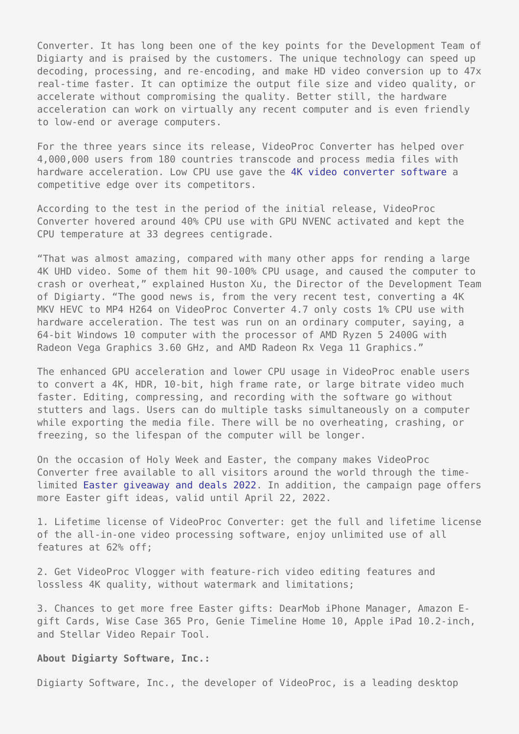Converter. It has long been one of the key points for the Development Team of Digiarty and is praised by the customers. The unique technology can speed up decoding, processing, and re-encoding, and make HD video conversion up to 47x real-time faster. It can optimize the output file size and video quality, or accelerate without compromising the quality. Better still, the hardware acceleration can work on virtually any recent computer and is even friendly to low-end or average computers.

For the three years since its release, VideoProc Converter has helped over 4,000,000 users from 180 countries transcode and process media files with hardware acceleration. Low CPU use gave the [4K video converter software](https://www.videoproc.com/edit-4k-video/4k-video-converter-free-download.htm) a competitive edge over its competitors.

According to the test in the period of the initial release, VideoProc Converter hovered around 40% CPU use with GPU NVENC activated and kept the CPU temperature at 33 degrees centigrade.

"That was almost amazing, compared with many other apps for rending a large 4K UHD video. Some of them hit 90-100% CPU usage, and caused the computer to crash or overheat," explained Huston Xu, the Director of the Development Team of Digiarty. "The good news is, from the very recent test, converting a 4K MKV HEVC to MP4 H264 on VideoProc Converter 4.7 only costs 1% CPU use with hardware acceleration. The test was run on an ordinary computer, saying, a 64-bit Windows 10 computer with the processor of AMD Ryzen 5 2400G with Radeon Vega Graphics 3.60 GHz, and AMD Radeon Rx Vega 11 Graphics."

The enhanced GPU acceleration and lower CPU usage in VideoProc enable users to convert a 4K, HDR, 10-bit, high frame rate, or large bitrate video much faster. Editing, compressing, and recording with the software go without stutters and lags. Users can do multiple tasks simultaneously on a computer while exporting the media file. There will be no overheating, crashing, or freezing, so the lifespan of the computer will be longer.

On the occasion of Holy Week and Easter, the company makes VideoProc Converter free available to all visitors around the world through the timelimited [Easter giveaway and deals 2022](https://www.videoproc.com/campaign/easter-offer.htm). In addition, the campaign page offers more Easter gift ideas, valid until April 22, 2022.

1. Lifetime license of VideoProc Converter: get the full and lifetime license of the all-in-one video processing software, enjoy unlimited use of all features at 62% off;

2. Get VideoProc Vlogger with feature-rich video editing features and lossless 4K quality, without watermark and limitations;

3. Chances to get more free Easter gifts: DearMob iPhone Manager, Amazon Egift Cards, Wise Case 365 Pro, Genie Timeline Home 10, Apple iPad 10.2-inch, and Stellar Video Repair Tool.

## **About Digiarty Software, Inc.:**

Digiarty Software, Inc., the developer of VideoProc, is a leading desktop